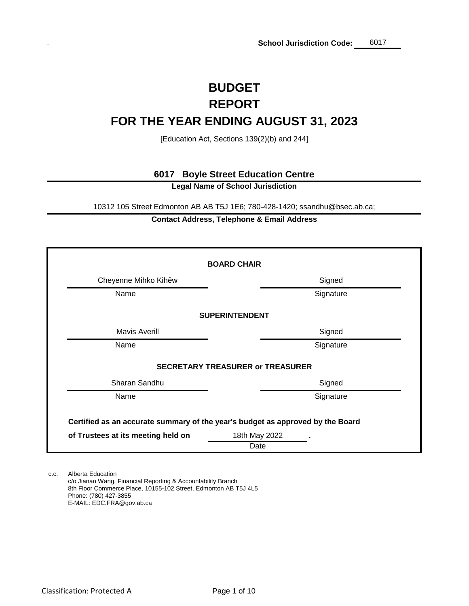# **REPORT BUDGET FOR THE YEAR ENDING AUGUST 31, 2023**

[Education Act, Sections 139(2)(b) and 244]

### **6017 Boyle Street Education Centre**

**Legal Name of School Jurisdiction**

10312 105 Street Edmonton AB AB T5J 1E6; 780-428-1420; ssandhu@bsec.ab.ca;

### **Contact Address, Telephone & Email Address**

|                                                                                | <b>BOARD CHAIR</b>                      |  |  |  |  |  |  |  |  |
|--------------------------------------------------------------------------------|-----------------------------------------|--|--|--|--|--|--|--|--|
| Cheyenne Mihko Kihêw                                                           | Signed                                  |  |  |  |  |  |  |  |  |
| Name                                                                           | Signature                               |  |  |  |  |  |  |  |  |
|                                                                                | <b>SUPERINTENDENT</b>                   |  |  |  |  |  |  |  |  |
| <b>Mavis Averill</b>                                                           | Signed                                  |  |  |  |  |  |  |  |  |
| Name                                                                           | Signature                               |  |  |  |  |  |  |  |  |
|                                                                                | <b>SECRETARY TREASURER or TREASURER</b> |  |  |  |  |  |  |  |  |
| Sharan Sandhu                                                                  | Signed                                  |  |  |  |  |  |  |  |  |
| Name                                                                           | Signature                               |  |  |  |  |  |  |  |  |
| Certified as an accurate summary of the year's budget as approved by the Board |                                         |  |  |  |  |  |  |  |  |
| of Trustees at its meeting held on                                             | 18th May 2022<br>Date                   |  |  |  |  |  |  |  |  |

c.c. Alberta Education c/o Jianan Wang, Financial Reporting & Accountability Branch 8th Floor Commerce Place, 10155-102 Street, Edmonton AB T5J 4L5 Phone: (780) 427-3855 E-MAIL: EDC.FRA@gov.ab.ca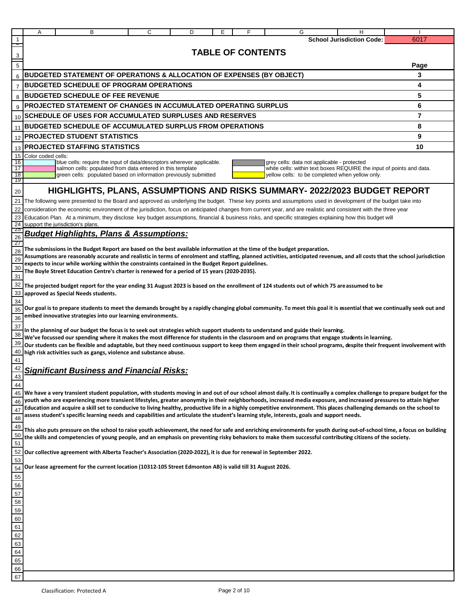|                                                                | Α                  |                                                                                                                                                                                                  | B | C | D | Е | F                        | G | н                                                                                                                                                                                                                                                                                                                           |                                                                                                                                                                                                                                                                                                                                               |
|----------------------------------------------------------------|--------------------|--------------------------------------------------------------------------------------------------------------------------------------------------------------------------------------------------|---|---|---|---|--------------------------|---|-----------------------------------------------------------------------------------------------------------------------------------------------------------------------------------------------------------------------------------------------------------------------------------------------------------------------------|-----------------------------------------------------------------------------------------------------------------------------------------------------------------------------------------------------------------------------------------------------------------------------------------------------------------------------------------------|
|                                                                |                    |                                                                                                                                                                                                  |   |   |   |   |                          |   | <b>School Jurisdiction Code:</b>                                                                                                                                                                                                                                                                                            | 6017                                                                                                                                                                                                                                                                                                                                          |
| 3                                                              |                    |                                                                                                                                                                                                  |   |   |   |   | <b>TABLE OF CONTENTS</b> |   |                                                                                                                                                                                                                                                                                                                             |                                                                                                                                                                                                                                                                                                                                               |
| $\overline{5}$                                                 |                    |                                                                                                                                                                                                  |   |   |   |   |                          |   |                                                                                                                                                                                                                                                                                                                             | Page                                                                                                                                                                                                                                                                                                                                          |
| 6                                                              |                    | <b>BUDGETED STATEMENT OF OPERATIONS &amp; ALLOCATION OF EXPENSES (BY OBJECT)</b>                                                                                                                 |   |   |   |   |                          |   |                                                                                                                                                                                                                                                                                                                             | 3                                                                                                                                                                                                                                                                                                                                             |
| $\overline{7}$                                                 |                    | <b>BUDGETED SCHEDULE OF PROGRAM OPERATIONS</b>                                                                                                                                                   |   |   |   |   |                          |   |                                                                                                                                                                                                                                                                                                                             | 4                                                                                                                                                                                                                                                                                                                                             |
| 8                                                              |                    | <b>BUDGETED SCHEDULE OF FEE REVENUE</b>                                                                                                                                                          |   |   |   |   |                          |   |                                                                                                                                                                                                                                                                                                                             | 5                                                                                                                                                                                                                                                                                                                                             |
| 9                                                              |                    | PROJECTED STATEMENT OF CHANGES IN ACCUMULATED OPERATING SURPLUS                                                                                                                                  |   |   |   |   |                          |   |                                                                                                                                                                                                                                                                                                                             | 6                                                                                                                                                                                                                                                                                                                                             |
|                                                                |                    | 10 SCHEDULE OF USES FOR ACCUMULATED SURPLUSES AND RESERVES                                                                                                                                       |   |   |   |   |                          |   |                                                                                                                                                                                                                                                                                                                             | 7                                                                                                                                                                                                                                                                                                                                             |
| 11                                                             |                    | <b>BUDGETED SCHEDULE OF ACCUMULATED SURPLUS FROM OPERATIONS</b>                                                                                                                                  |   |   |   |   |                          |   |                                                                                                                                                                                                                                                                                                                             | 8                                                                                                                                                                                                                                                                                                                                             |
| 12                                                             |                    | <b>PROJECTED STUDENT STATISTICS</b>                                                                                                                                                              |   |   |   |   |                          |   |                                                                                                                                                                                                                                                                                                                             | 9                                                                                                                                                                                                                                                                                                                                             |
| 13                                                             |                    | <b>PROJECTED STAFFING STATISTICS</b>                                                                                                                                                             |   |   |   |   |                          |   |                                                                                                                                                                                                                                                                                                                             | 10                                                                                                                                                                                                                                                                                                                                            |
| 15<br>16                                                       | Color coded cells: | blue cells: require the input of data/descriptors wherever applicable.                                                                                                                           |   |   |   |   |                          |   | grey cells: data not applicable - protected                                                                                                                                                                                                                                                                                 |                                                                                                                                                                                                                                                                                                                                               |
| 17<br>18                                                       |                    | salmon cells: populated from data entered in this template                                                                                                                                       |   |   |   |   |                          |   |                                                                                                                                                                                                                                                                                                                             | white cells: within text boxes REQUIRE the input of points and data.                                                                                                                                                                                                                                                                          |
| 19                                                             |                    | green cells: populated based on information previously submitted                                                                                                                                 |   |   |   |   |                          |   | yellow cells: to be completed when yellow only.                                                                                                                                                                                                                                                                             |                                                                                                                                                                                                                                                                                                                                               |
| 20                                                             |                    |                                                                                                                                                                                                  |   |   |   |   |                          |   | HIGHLIGHTS, PLANS, ASSUMPTIONS AND RISKS SUMMARY- 2022/2023 BUDGET REPORT                                                                                                                                                                                                                                                   |                                                                                                                                                                                                                                                                                                                                               |
|                                                                |                    |                                                                                                                                                                                                  |   |   |   |   |                          |   | 21 The following were presented to the Board and approved as underlying the budget. These key points and assumptions used in development of the budget take into                                                                                                                                                            |                                                                                                                                                                                                                                                                                                                                               |
| 22<br>23                                                       |                    |                                                                                                                                                                                                  |   |   |   |   |                          |   | consideration the economic environment of the jurisdiction, focus on anticipated changes from current year, and are realistic and consistent with the three year<br>Education Plan. At a minimum, they disclose key budget assumptions, financial & business risks, and specific strategies explaining how this budget will |                                                                                                                                                                                                                                                                                                                                               |
| 24                                                             |                    | support the jurisdiction's plans.                                                                                                                                                                |   |   |   |   |                          |   |                                                                                                                                                                                                                                                                                                                             |                                                                                                                                                                                                                                                                                                                                               |
| - 25<br>26                                                     |                    | <b>Budget Highlights, Plans &amp; Assumptions:</b>                                                                                                                                               |   |   |   |   |                          |   |                                                                                                                                                                                                                                                                                                                             |                                                                                                                                                                                                                                                                                                                                               |
| -27                                                            |                    | The submissions in the Budget Report are based on the best available information at the time of the budget preparation.                                                                          |   |   |   |   |                          |   |                                                                                                                                                                                                                                                                                                                             |                                                                                                                                                                                                                                                                                                                                               |
| 28<br>29                                                       |                    |                                                                                                                                                                                                  |   |   |   |   |                          |   |                                                                                                                                                                                                                                                                                                                             | Assumptions are reasonably accurate and realistic in terms of enrolment and staffing, planned activities, anticipated revenues, and all costs that the school jurisdiction                                                                                                                                                                    |
| 30                                                             |                    | expects to incur while working within the constraints contained in the Budget Report guidelines.<br>The Boyle Street Education Centre's charter is renewed for a period of 15 years (2020-2035). |   |   |   |   |                          |   |                                                                                                                                                                                                                                                                                                                             |                                                                                                                                                                                                                                                                                                                                               |
| 31                                                             |                    |                                                                                                                                                                                                  |   |   |   |   |                          |   |                                                                                                                                                                                                                                                                                                                             |                                                                                                                                                                                                                                                                                                                                               |
| 32                                                             |                    |                                                                                                                                                                                                  |   |   |   |   |                          |   | The projected budget report for the year ending 31 August 2023 is based on the enrollment of 124 students out of which 75 areassumed to be                                                                                                                                                                                  |                                                                                                                                                                                                                                                                                                                                               |
| 33<br>34                                                       |                    | approved as Special Needs students.                                                                                                                                                              |   |   |   |   |                          |   |                                                                                                                                                                                                                                                                                                                             |                                                                                                                                                                                                                                                                                                                                               |
| 35                                                             |                    |                                                                                                                                                                                                  |   |   |   |   |                          |   |                                                                                                                                                                                                                                                                                                                             | Our goal is to prepare students to meet the demands brought by a rapidly changing global community. To meet this goal it is essential that we continually seek out and                                                                                                                                                                        |
| 36                                                             |                    | embed innovative strategies into our learning environments.                                                                                                                                      |   |   |   |   |                          |   |                                                                                                                                                                                                                                                                                                                             |                                                                                                                                                                                                                                                                                                                                               |
| 37<br>38                                                       |                    | In the planning of our budget the focus is to seek out strategies which support students to understand and guide their learning.                                                                 |   |   |   |   |                          |   |                                                                                                                                                                                                                                                                                                                             |                                                                                                                                                                                                                                                                                                                                               |
| 39                                                             |                    |                                                                                                                                                                                                  |   |   |   |   |                          |   | We've focussed our spending where it makes the most difference for students in the classroom and on programs that engage students in learning.                                                                                                                                                                              | Our students can be flexible and adaptable, but they need continuous support to keep them engaged in their school programs, despite their frequent involvement with                                                                                                                                                                           |
| 40                                                             |                    | high risk activities such as gangs, violence and substance abuse.                                                                                                                                |   |   |   |   |                          |   |                                                                                                                                                                                                                                                                                                                             |                                                                                                                                                                                                                                                                                                                                               |
| 41                                                             |                    |                                                                                                                                                                                                  |   |   |   |   |                          |   |                                                                                                                                                                                                                                                                                                                             |                                                                                                                                                                                                                                                                                                                                               |
| 42<br>43                                                       |                    | <u>Significant Business and Financial Risks:</u>                                                                                                                                                 |   |   |   |   |                          |   |                                                                                                                                                                                                                                                                                                                             |                                                                                                                                                                                                                                                                                                                                               |
| 44                                                             |                    |                                                                                                                                                                                                  |   |   |   |   |                          |   |                                                                                                                                                                                                                                                                                                                             |                                                                                                                                                                                                                                                                                                                                               |
|                                                                |                    |                                                                                                                                                                                                  |   |   |   |   |                          |   |                                                                                                                                                                                                                                                                                                                             | 45 We have a very transient student population, with students moving in and out of our school almost daily. It is continually a complex challenge to prepare budget for the                                                                                                                                                                   |
| 46<br>47                                                       |                    |                                                                                                                                                                                                  |   |   |   |   |                          |   |                                                                                                                                                                                                                                                                                                                             | youth who are experiencing more transient lifestyles, greater anonymity in their neighborhoods, increased media exposure, and increased pressures to attain higher<br>Education and acquire a skill set to conducive to living healthy, productive life in a highly competitive environment. This places challenging demands on the school to |
| 48                                                             |                    | assess student's specific learning needs and capabilities and articulate the student's learning style, interests, goals and support needs.                                                       |   |   |   |   |                          |   |                                                                                                                                                                                                                                                                                                                             |                                                                                                                                                                                                                                                                                                                                               |
| 49                                                             |                    |                                                                                                                                                                                                  |   |   |   |   |                          |   |                                                                                                                                                                                                                                                                                                                             | This also puts pressure on the school to raise youth achievement, the need for safe and enriching environments for youth during out-of-school time, a focus on building                                                                                                                                                                       |
| 50                                                             |                    |                                                                                                                                                                                                  |   |   |   |   |                          |   | the skills and competencies of young people, and an emphasis on preventing risky behaviors to make them successful contributing citizens of the society.                                                                                                                                                                    |                                                                                                                                                                                                                                                                                                                                               |
| 51<br>52                                                       |                    | Our collective agreement with Alberta Teacher's Association (2020-2022), it is due for renewal in September 2022.                                                                                |   |   |   |   |                          |   |                                                                                                                                                                                                                                                                                                                             |                                                                                                                                                                                                                                                                                                                                               |
| 53                                                             |                    |                                                                                                                                                                                                  |   |   |   |   |                          |   |                                                                                                                                                                                                                                                                                                                             |                                                                                                                                                                                                                                                                                                                                               |
| 54                                                             |                    | Our lease agreement for the current location (10312-105 Street Edmonton AB) is valid till 31 August 2026.                                                                                        |   |   |   |   |                          |   |                                                                                                                                                                                                                                                                                                                             |                                                                                                                                                                                                                                                                                                                                               |
|                                                                |                    |                                                                                                                                                                                                  |   |   |   |   |                          |   |                                                                                                                                                                                                                                                                                                                             |                                                                                                                                                                                                                                                                                                                                               |
|                                                                |                    |                                                                                                                                                                                                  |   |   |   |   |                          |   |                                                                                                                                                                                                                                                                                                                             |                                                                                                                                                                                                                                                                                                                                               |
|                                                                |                    |                                                                                                                                                                                                  |   |   |   |   |                          |   |                                                                                                                                                                                                                                                                                                                             |                                                                                                                                                                                                                                                                                                                                               |
|                                                                |                    |                                                                                                                                                                                                  |   |   |   |   |                          |   |                                                                                                                                                                                                                                                                                                                             |                                                                                                                                                                                                                                                                                                                                               |
|                                                                |                    |                                                                                                                                                                                                  |   |   |   |   |                          |   |                                                                                                                                                                                                                                                                                                                             |                                                                                                                                                                                                                                                                                                                                               |
|                                                                |                    |                                                                                                                                                                                                  |   |   |   |   |                          |   |                                                                                                                                                                                                                                                                                                                             |                                                                                                                                                                                                                                                                                                                                               |
|                                                                |                    |                                                                                                                                                                                                  |   |   |   |   |                          |   |                                                                                                                                                                                                                                                                                                                             |                                                                                                                                                                                                                                                                                                                                               |
| 55<br>56<br>57<br>58<br>59<br>60<br>61<br>62<br>63<br>64<br>65 |                    |                                                                                                                                                                                                  |   |   |   |   |                          |   |                                                                                                                                                                                                                                                                                                                             |                                                                                                                                                                                                                                                                                                                                               |
| 66                                                             |                    |                                                                                                                                                                                                  |   |   |   |   |                          |   |                                                                                                                                                                                                                                                                                                                             |                                                                                                                                                                                                                                                                                                                                               |

67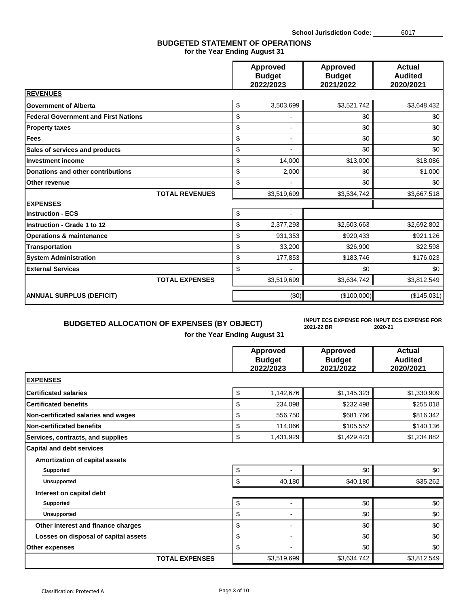### **BUDGETED STATEMENT OF OPERATIONS for the Year Ending August 31**

|                                             | <b>Approved</b><br><b>Budget</b><br>2022/2023 | <b>Approved</b><br><b>Budget</b><br>2021/2022 | <b>Actual</b><br><b>Audited</b><br>2020/2021 |
|---------------------------------------------|-----------------------------------------------|-----------------------------------------------|----------------------------------------------|
| <b>REVENUES</b>                             |                                               |                                               |                                              |
| <b>Government of Alberta</b>                | \$<br>3,503,699                               | \$3,521,742                                   | \$3,648,432                                  |
| <b>Federal Government and First Nations</b> | \$                                            | \$0                                           | \$0                                          |
| <b>Property taxes</b>                       | \$<br>$\blacksquare$                          | \$0                                           | \$0                                          |
| <b>Fees</b>                                 | \$<br>$\blacksquare$                          | \$0                                           | \$0                                          |
| Sales of services and products              | \$                                            | \$0                                           | \$0                                          |
| <b>Investment income</b>                    | \$<br>14,000                                  | \$13,000                                      | \$18,086                                     |
| <b>Donations and other contributions</b>    | \$<br>2,000                                   | \$0                                           | \$1,000                                      |
| Other revenue                               | \$                                            | \$0                                           | \$0                                          |
| <b>TOTAL REVENUES</b>                       | \$3,519,699                                   | \$3,534,742                                   | \$3,667,518                                  |
| <b>EXPENSES</b>                             |                                               |                                               |                                              |
| <b>Instruction - ECS</b>                    | \$                                            |                                               |                                              |
| Instruction - Grade 1 to 12                 | \$<br>2,377,293                               | \$2,503,663                                   | \$2,692,802                                  |
| <b>Operations &amp; maintenance</b>         | \$<br>931,353                                 | \$920,433                                     | \$921,126                                    |
| <b>Transportation</b>                       | \$<br>33,200                                  | \$26,900                                      | \$22,598                                     |
| <b>System Administration</b>                | \$<br>177,853                                 | \$183,746                                     | \$176,023                                    |
| <b>External Services</b>                    | \$                                            | \$0                                           | \$0                                          |
| <b>TOTAL EXPENSES</b>                       | \$3,519,699                                   | \$3,634,742                                   | \$3,812,549                                  |
| <b>ANNUAL SURPLUS (DEFICIT)</b>             | (50)                                          | (\$100,000)                                   | (\$145,031)                                  |

## **BUDGETED ALLOCATION OF EXPENSES (BY OBJECT)**

## **for the Year Ending August 31**

**2021-22 BR INPUT ECS EXPENSE FOR INPUT ECS EXPENSE FOR 2020-21**

|                                                                                 | Approved<br><b>Budget</b><br>2022/2023 | Approved<br><b>Budget</b><br>2021/2022 | <b>Actual</b><br><b>Audited</b><br>2020/2021 |
|---------------------------------------------------------------------------------|----------------------------------------|----------------------------------------|----------------------------------------------|
| <b>EXPENSES</b>                                                                 |                                        |                                        |                                              |
| <b>Certificated salaries</b>                                                    | \$<br>1,142,676                        | \$1,145,323                            | \$1,330,909                                  |
| <b>Certificated benefits</b>                                                    | \$<br>234,098                          | \$232,498                              | \$255,018                                    |
| Non-certificated salaries and wages                                             | \$<br>556,750                          | \$681,766                              | \$816,342                                    |
| <b>Non-certificated benefits</b>                                                | \$<br>114,066                          | \$105,552                              | \$140,136                                    |
| Services, contracts, and supplies                                               | \$<br>1,431,929                        | \$1,429,423                            | \$1,234,882                                  |
| <b>Capital and debt services</b><br>Amortization of capital assets<br>Supported | \$<br>-                                | \$0                                    | \$0                                          |
| <b>Unsupported</b>                                                              | \$<br>40,180                           | \$40,180                               | \$35,262                                     |
| Interest on capital debt                                                        |                                        |                                        |                                              |
| <b>Supported</b>                                                                | \$<br>-                                | \$0                                    | \$0                                          |
| <b>Unsupported</b>                                                              | \$<br>$\overline{\phantom{0}}$         | \$0                                    | \$0                                          |
| Other interest and finance charges                                              | \$<br>$\overline{a}$                   | \$0                                    | \$0                                          |
| Losses on disposal of capital assets                                            | \$<br>$\blacksquare$                   | \$0                                    | \$0                                          |
| Other expenses                                                                  | \$<br>-                                | \$0                                    | \$0                                          |
| <b>TOTAL EXPENSES</b>                                                           | \$3,519,699                            | \$3,634,742                            | \$3,812,549                                  |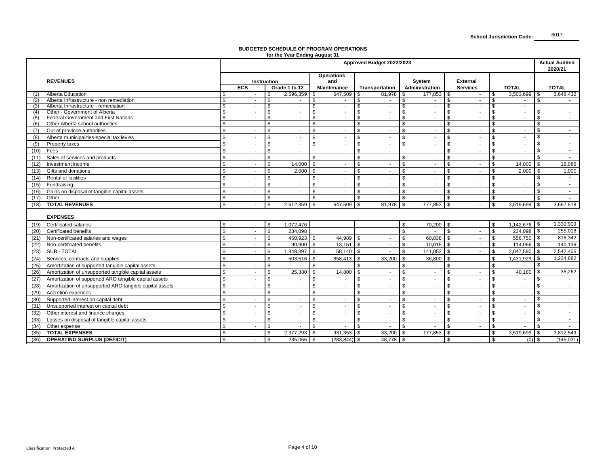## **BUDGETED SCHEDULE OF PROGRAM OPERATIONS for the Year Ending August 31**

|      |                                                         |                         | Approved Budget 2022/2023 |                    |                          |                |                   |                |                |                |         |                 |                |              |                | <b>Actual Audited</b><br>2020/21 |                          |
|------|---------------------------------------------------------|-------------------------|---------------------------|--------------------|--------------------------|----------------|-------------------|----------------|----------------|----------------|---------|-----------------|----------------|--------------|----------------|----------------------------------|--------------------------|
|      |                                                         |                         |                           |                    |                          |                | <b>Operations</b> |                |                |                |         |                 |                |              |                |                                  |                          |
|      | <b>REVENUES</b>                                         |                         | Instruction               |                    |                          |                | and               |                |                | System         |         | <b>External</b> |                |              |                |                                  |                          |
|      |                                                         |                         | <b>ECS</b>                |                    | Grade 1 to 12            |                | Maintenance       |                | Transportation | Administration |         | <b>Services</b> |                |              | <b>TOTAL</b>   |                                  | <b>TOTAL</b>             |
| (1)  | Alberta Education                                       | \$                      | ۰.                        | -5                 | 2,596,359                |                | 647,509           | - \$           | 81,978         |                | 177,853 | l \$            | $\sim$         | \$           | 3,503,699      | \$                               | 3,648,432                |
| (2)  | Alberta Infrastructure - non remediation                | \$                      | ٠                         | \$                 | $\mathbf{r}$             | \$             | $\sim$            | \$             | $\sim$         | \$             | $\sim$  | \$              | $\sim$         | s,           | $\sim$         | s.                               |                          |
| (3)  | Alberta Infrastructure - remediation                    | s,                      | $\sim$                    | £.                 | $\sim$                   | £.             | $\sim$            | \$             | $\sim$         | \$.            | $\sim$  | \$              | $\sim$         | \$.          | $\sim$         |                                  |                          |
| (4)  | Other - Government of Alberta                           | \$                      | $\blacksquare$            | <b>.</b> π         | $\blacksquare$           | . ፍ            | $\sim$            | \$.            | $\sim$         | \$             | $\sim$  |                 | $\sim$         | \$.          | $\sim$         |                                  | $\overline{\phantom{a}}$ |
| (5)  | <b>Federal Government and First Nations</b>             | \$                      | ÷.                        |                    | $\mathbf{r}$             |                | $\sim$            |                | $\sim$         | \$             | $\sim$  | ፍ               | $\sim$         | \$           | ÷.             | \$                               | $\sim$                   |
| (6)  | Other Alberta school authorities                        | S,                      | $\blacksquare$            |                    | $\overline{\phantom{a}}$ |                | $\sim$            |                | $\sim$         | \$.            | $\sim$  |                 | $\sim$         | S            | $\sim$         | \$                               | $\sim$                   |
| (7)  | Out of province authorities                             | $\mathbb{S}$            |                           |                    |                          | \$             |                   |                |                | \$             | $\sim$  | \$              | $\sim$         | \$           | ÷.             | \$                               |                          |
| (8)  | Alberta municipalities-special tax levies               | $\mathbb{S}$            |                           | ፍ                  | <b>Co</b>                | $\mathfrak{L}$ |                   | £.             |                | ፍ              | $\sim$  | ፍ               | $\sim$         | \$           | $\sim$         | \$                               | $\sim$                   |
| (9)  | Property taxes                                          | $\mathfrak{s}$          |                           | \$                 |                          | $\mathfrak{L}$ |                   | £.             |                | \$             | ÷.      | \$              | $\sim$         | \$           | ٠              | \$                               | $\sim$                   |
| (10) | Fees                                                    | $\mathfrak{s}$          |                           | \$                 |                          |                |                   |                |                |                |         | \$              |                | \$           |                | \$                               | $\sim$                   |
| (11) | Sales of services and products                          | $\mathbb{S}$            |                           | \$                 |                          | ፍ              |                   |                |                | ፍ              | $\sim$  | ፍ               | $\sim$         | \$           | $\sim$         | \$                               | $\sim$                   |
| (12) | Investment income                                       | $\sqrt[6]{\frac{1}{2}}$ |                           | \$                 | 14,000                   | £.             |                   | £.             |                | \$             |         | \$              | $\blacksquare$ | \$           | 14,000         | \$                               | 18,086                   |
| (13) | Gifts and donations                                     | $\mathbb{S}$            | $\blacksquare$            | \$                 | 2,000                    |                | $\sim$            |                | $\sim$         | $\mathbf{s}$   | $\sim$  | \$              | $\sim$         | \$           | 2,000          | \$                               | 1,000                    |
| (14) | Rental of facilities                                    | $\mathbb{S}$            |                           | \$                 |                          |                |                   |                |                | \$             | ÷.      | $\mathfrak{L}$  | $\blacksquare$ | \$           | $\blacksquare$ | \$                               | $\sim$                   |
| (15) | Fundraising                                             | $\mathfrak{s}$          |                           | -S                 |                          | \$             |                   | \$             |                | \$             | $\sim$  | \$              | $\sim$         | \$           | $\blacksquare$ | \$                               |                          |
| (16) | Gains on disposal of tangible capital assets            | \$                      |                           | \$                 |                          |                |                   | \$             |                | \$             | $\sim$  | \$              | $\sim$         | \$           | $\blacksquare$ | \$                               | $\sim$                   |
| (17) | Other                                                   | \$                      | $\blacksquare$            | Ŝ.                 |                          | $\mathcal{S}$  |                   | \$             |                | \$             | $\sim$  | \$              | $\sim$         | \$           | ÷.             | \$                               |                          |
| (18) | <b>TOTAL REVENUES</b>                                   | \$                      |                           | -S                 | 2,612,359                | l \$           | 647,509           | \$             | 81,978         | - \$           | 177,853 | l \$            | $\sim$         | \$           | 3,519,699      | \$                               | 3,667,518                |
|      |                                                         |                         |                           |                    |                          |                |                   |                |                |                |         |                 |                |              |                |                                  |                          |
|      | <b>EXPENSES</b>                                         |                         |                           |                    |                          |                |                   |                |                |                |         |                 |                |              |                |                                  |                          |
| (19) | Certificated salaries                                   | \$                      |                           |                    | 1,072,476                |                |                   |                |                |                | 70,200  |                 | $\sim$         | \$.          | 1,142,676      | <b>S</b>                         | 1,330,909                |
| (20) | Certificated benefits                                   | $\mathbb{S}$            |                           | \$                 | 234.098                  |                |                   |                |                | \$             |         | \$              | $\blacksquare$ | \$           | 234.098        | <b>S</b>                         | 255,018                  |
| (21) | Non-certificated salaries and wages                     | $\mathfrak{s}$          |                           | \$.                | 450,923                  | <b>S</b>       | 44,989 \$         |                |                | \$             | 60,838  | $\mathbf{s}$    | $\sim$         | $\mathbf{s}$ | 556,750        | IS.                              | 816,342                  |
| (22) | Non-certificated benefits                               | \$                      |                           | \$                 | 90,900                   |                | 13,151            |                | $\sim$         | \$             | 10,015  | \$              | $\sim$         | \$           | 114,066        | \$                               | 140,136                  |
| (23) | SUB - TOTAL                                             | $\mathfrak{s}$          |                           | \$                 | 1,848,397                | - \$           | 58,140 \$         |                |                | \$             | 141,053 | l \$            | $\sim$         | \$           | 2,047,590      | <b>S</b>                         | 2,542,405                |
| (24) | Services, contracts and supplies                        | $\mathfrak{S}$          |                           | \$                 | 503,516                  |                | 858,413           |                | 33,200         | \$             | 36,800  | \$              | $\sim$         | \$           | 1,431,929      | \$                               | 1,234,882                |
| (25) | Amortization of supported tangible capital assets       | $\mathfrak{S}$          |                           | $\mathfrak{s}$     |                          | \$             |                   |                |                | \$             |         | \$              | $\blacksquare$ | \$           |                | \$                               |                          |
| (26) | Amortization of unsupported tangible capital assets     | $\mathfrak s$           |                           | \$.                | 25,380                   |                | 14,800            |                |                | \$             |         | \$              | $\sim$         | \$           | 40,180         | \$                               | 35,262                   |
| (27) | Amortization of supported ARO tangible capital assets   | $\mathbb{S}$            |                           | \$                 |                          | £.             |                   |                |                | \$             | $\sim$  | \$              | $\sim$         | \$           | ÷.             | \$                               | $\sim$                   |
| (28) | Amortization of unsupported ARO tangible capital assets | $\mathbb{S}$            |                           |                    |                          | \$.            |                   |                |                | ፍ              |         | \$              | ÷.             | \$           | $\blacksquare$ | ፍ                                |                          |
| (29) | Accretion expenses                                      | $\mathbb{S}$            | ٠                         | \$                 | $\overline{\phantom{a}}$ | £.             | $\sim$            | \$.            | $\sim$         | \$             | $\sim$  | \$              | $\sim$         | \$           | $\sim$         | \$                               | $\sim$                   |
|      |                                                         | $\mathsf{\$}$           |                           |                    |                          | ۹.             |                   |                |                |                |         |                 | $\sim$         | \$.          | $\blacksquare$ | \$                               | $\sim$                   |
| (30) | Supported interest on capital debt                      |                         |                           |                    |                          |                |                   |                |                |                |         |                 |                |              |                | \$                               | $\sim$                   |
| (31) | Unsupported interest on capital debt                    | $\mathfrak{s}$          | ä,                        | \$                 |                          | \$             | ÷                 |                | $\sim$         | \$             | $\sim$  | \$              | $\mathbf{r}$   | \$           | ÷              |                                  |                          |
| (32) | Other interest and finance charges                      | $\mathbb{S}$            |                           |                    |                          |                |                   |                |                |                | $\sim$  | \$              | $\sim$         | \$           | $\blacksquare$ | \$                               | $\sim$                   |
| (33) | Losses on disposal of tangible capital assets           | $\mathfrak{s}$          | ÷                         | $\mathcal{L}$      | ÷.                       | $\mathfrak{L}$ | $\sim$            | \$             |                | $\mathbf{s}$   | $\sim$  | \$              | $\sim$         | $\mathbf{s}$ | ÷.             | \$                               | $\sim$                   |
| (34) | Other expense                                           | $\mathfrak{S}$          |                           | $\mathbf{\hat{s}}$ |                          | \$             |                   | $\mathfrak{s}$ |                | $\mathbf{\$}$  | ٠       | \$              | $\sim$         | \$           | $\blacksquare$ | \$                               | $\sim$                   |
| (35) | <b>TOTAL EXPENSES</b>                                   | \$                      |                           | Ŝ.                 | 2,377,293                | l \$           | $931,353$ \$      |                | $33,200$ \ \$  |                | 177,853 | $\mathfrak{s}$  | $\sim$         | \$           | 3,519,699      | $\sqrt{3}$                       | 3,812,549                |
| (36) | <b>OPERATING SURPLUS (DEFICIT)</b>                      | \$                      |                           | \$                 | 235,066                  |                | $(283, 844)$ \$   |                | 48,778 \$      |                | $\sim$  | $\mathbf{s}$    | $\sim$         | \$           | $(0)$ \$       |                                  | (145, 031)               |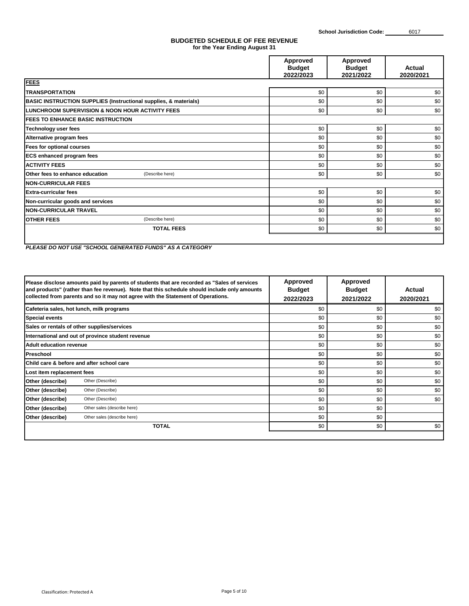#### **BUDGETED SCHEDULE OF FEE REVENUE for the Year Ending August 31**

|                                                                             | Approved<br><b>Budget</b><br>2022/2023 | Approved<br><b>Budget</b><br>2021/2022 | Actual<br>2020/2021 |
|-----------------------------------------------------------------------------|----------------------------------------|----------------------------------------|---------------------|
| <b>FEES</b>                                                                 |                                        |                                        |                     |
| <b>TRANSPORTATION</b>                                                       | \$0                                    | \$0                                    | \$0                 |
| <b>BASIC INSTRUCTION SUPPLIES (Instructional supplies, &amp; materials)</b> | \$0                                    | \$0                                    | \$0                 |
| LUNCHROOM SUPERVISION & NOON HOUR ACTIVITY FEES                             | \$0                                    | \$0                                    | \$0                 |
| <b>FEES TO ENHANCE BASIC INSTRUCTION</b>                                    |                                        |                                        |                     |
| Technology user fees                                                        | \$0                                    | \$0                                    | \$0                 |
| Alternative program fees                                                    | \$0                                    | \$0                                    | \$0                 |
| Fees for optional courses                                                   | \$0                                    | \$0                                    | \$0                 |
| <b>ECS enhanced program fees</b>                                            | \$0                                    | \$0                                    | \$0                 |
| <b>ACTIVITY FEES</b>                                                        | \$0                                    | \$0                                    | \$0                 |
| Other fees to enhance education<br>(Describe here)                          | \$0                                    | \$0                                    | \$0                 |
| <b>NON-CURRICULAR FEES</b>                                                  |                                        |                                        |                     |
| <b>Extra-curricular fees</b>                                                | \$0                                    | \$0                                    | \$0                 |
| Non-curricular goods and services                                           | \$0                                    | \$0                                    | \$0                 |
| <b>NON-CURRICULAR TRAVEL</b>                                                | \$0                                    | \$0                                    | \$0                 |
| <b>OTHER FEES</b><br>(Describe here)                                        | \$0                                    | \$0                                    | \$0                 |
| <b>TOTAL FEES</b>                                                           | \$0                                    | \$0                                    | \$0                 |
|                                                                             |                                        |                                        |                     |

*PLEASE DO NOT USE "SCHOOL GENERATED FUNDS" AS A CATEGORY*

|                                | Please disclose amounts paid by parents of students that are recorded as "Sales of services"<br>and products" (rather than fee revenue). Note that this schedule should include only amounts<br>collected from parents and so it may not agree with the Statement of Operations. | <b>Approved</b><br><b>Budget</b><br>2022/2023 | Approved<br><b>Budget</b><br>2021/2022 | Actual<br>2020/2021 |
|--------------------------------|----------------------------------------------------------------------------------------------------------------------------------------------------------------------------------------------------------------------------------------------------------------------------------|-----------------------------------------------|----------------------------------------|---------------------|
|                                | Cafeteria sales, hot lunch, milk programs                                                                                                                                                                                                                                        | \$0                                           | \$0                                    | \$0                 |
| <b>Special events</b>          |                                                                                                                                                                                                                                                                                  | \$0                                           | \$0                                    | \$0                 |
|                                | Sales or rentals of other supplies/services                                                                                                                                                                                                                                      | \$0                                           | \$0                                    | \$0                 |
|                                | International and out of province student revenue                                                                                                                                                                                                                                | \$0                                           | \$0                                    | \$0                 |
| <b>Adult education revenue</b> |                                                                                                                                                                                                                                                                                  | \$0                                           | \$0                                    | \$0                 |
| Preschool                      |                                                                                                                                                                                                                                                                                  | \$0                                           | \$0                                    | \$0                 |
|                                | <b>IChild care &amp; before and after school care</b>                                                                                                                                                                                                                            | \$0                                           | \$0                                    | \$0                 |
| Lost item replacement fees     |                                                                                                                                                                                                                                                                                  | \$0                                           | \$0                                    | \$0                 |
| Other (describe)               | Other (Describe)                                                                                                                                                                                                                                                                 | \$0                                           | \$0                                    | \$0                 |
| Other (describe)               | Other (Describe)                                                                                                                                                                                                                                                                 | \$0                                           | \$0                                    | \$0                 |
| Other (describe)               | Other (Describe)                                                                                                                                                                                                                                                                 | \$0                                           | \$0                                    | \$0                 |
| Other (describe)               | Other sales (describe here)                                                                                                                                                                                                                                                      | \$0                                           | \$0                                    |                     |
| Other (describe)               | Other sales (describe here)                                                                                                                                                                                                                                                      | \$0                                           | \$0                                    |                     |
|                                | <b>TOTAL</b>                                                                                                                                                                                                                                                                     | \$0                                           | \$0                                    | \$0                 |
|                                |                                                                                                                                                                                                                                                                                  |                                               |                                        |                     |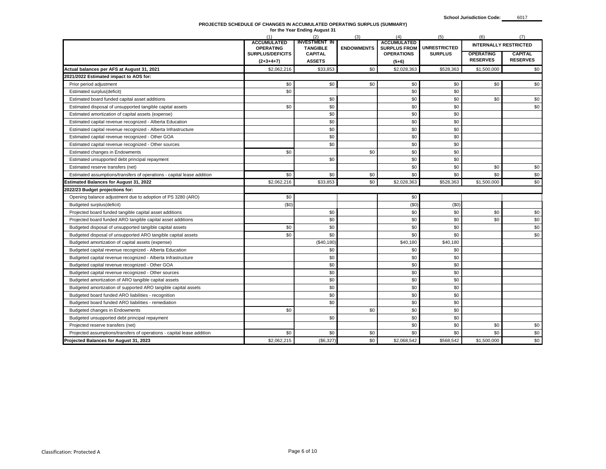## **PROJECTED SCHEDULE OF CHANGES IN ACCUMULATED OPERATING SURPLUS (SUMMARY) for the Year Ending August 31**

|                                                                        | (1)                                    | (2)                                     | (3)               | (4)                                       | (5)                 | (6)                          | (7)             |  |
|------------------------------------------------------------------------|----------------------------------------|-----------------------------------------|-------------------|-------------------------------------------|---------------------|------------------------------|-----------------|--|
|                                                                        | <b>ACCUMULATED</b><br><b>OPERATING</b> | <b>INVESTMENT IN</b><br><b>TANGIBLE</b> | <b>ENDOWMENTS</b> | <b>ACCUMULATED</b><br><b>SURPLUS FROM</b> | <b>UNRESTRICTED</b> | <b>INTERNALLY RESTRICTED</b> |                 |  |
|                                                                        | <b>SURPLUS/DEFICITS</b>                | <b>CAPITAL</b>                          |                   | <b>OPERATIONS</b>                         | <b>SURPLUS</b>      | <b>OPERATING</b>             | <b>CAPITAL</b>  |  |
|                                                                        | $(2+3+4+7)$                            | <b>ASSETS</b>                           |                   | $(5+6)$                                   |                     | <b>RESERVES</b>              | <b>RESERVES</b> |  |
| Actual balances per AFS at August 31, 2021                             | \$2,062,216                            | \$33,853                                | \$0               | \$2,028,363                               | \$528,363           | \$1,500,000                  | \$0             |  |
| 2021/2022 Estimated impact to AOS for:                                 |                                        |                                         |                   |                                           |                     |                              |                 |  |
| Prior period adjustment                                                | \$0                                    | \$0                                     | \$0               | \$0                                       | \$0                 | \$0                          | \$0             |  |
| Estimated surplus(deficit)                                             | \$0                                    |                                         |                   | \$0                                       | \$0                 |                              |                 |  |
| Estimated board funded capital asset additions                         |                                        | \$0                                     |                   | \$0                                       | \$0                 | \$0                          | \$0             |  |
| Estimated disposal of unsupported tangible capital assets              | \$0                                    | \$0                                     |                   | \$0                                       | \$0                 |                              | \$0             |  |
| Estimated amortization of capital assets (expense)                     |                                        | \$0                                     |                   | \$0                                       | \$0                 |                              |                 |  |
| Estimated capital revenue recognized - Alberta Education               |                                        | \$0                                     |                   | \$0                                       | \$0                 |                              |                 |  |
| Estimated capital revenue recognized - Alberta Infrastructure          |                                        | \$0                                     |                   | \$0                                       | \$0                 |                              |                 |  |
| Estimated capital revenue recognized - Other GOA                       |                                        | \$0                                     |                   | \$0                                       | \$0                 |                              |                 |  |
| Estimated capital revenue recognized - Other sources                   |                                        | \$0                                     |                   | \$0                                       | \$0                 |                              |                 |  |
| Estimated changes in Endowments                                        | \$0                                    |                                         | \$0               | \$0                                       | \$0                 |                              |                 |  |
| Estimated unsupported debt principal repayment                         |                                        | \$0                                     |                   | \$0                                       | \$0                 |                              |                 |  |
| Estimated reserve transfers (net)                                      |                                        |                                         |                   | \$0                                       | \$0                 | \$0                          | \$0             |  |
| Estimated assumptions/transfers of operations - capital lease addition | \$0                                    | \$0                                     | \$0               | \$0                                       | \$0                 | \$0                          | \$0             |  |
| <b>Estimated Balances for August 31, 2022</b>                          | \$2,062,216                            | \$33,853                                | \$0               | \$2,028,363                               | \$528,363           | \$1,500,000                  | \$0             |  |
| 2022/23 Budget projections for:                                        |                                        |                                         |                   |                                           |                     |                              |                 |  |
| Opening balance adjustment due to adoption of PS 3280 (ARO)            | \$0                                    |                                         |                   | \$0                                       |                     |                              |                 |  |
| Budgeted surplus(deficit)                                              | (\$0)                                  |                                         |                   | (50)                                      | (50)                |                              |                 |  |
| Projected board funded tangible capital asset additions                |                                        | \$0                                     |                   | \$0                                       | \$0                 | \$0                          | \$0             |  |
| Projected board funded ARO tangible capital asset additions            |                                        | \$0                                     |                   | \$0                                       | \$0                 | \$0                          | \$0             |  |
| Budgeted disposal of unsupported tangible capital assets               | \$0                                    | \$0                                     |                   | \$0                                       | \$0                 |                              | \$0             |  |
| Budgeted disposal of unsupported ARO tangible capital assets           | \$0                                    | \$0                                     |                   | \$0                                       | \$0                 |                              | \$0             |  |
| Budgeted amortization of capital assets (expense)                      |                                        | (\$40, 180)                             |                   | \$40,180                                  | \$40,180            |                              |                 |  |
| Budgeted capital revenue recognized - Alberta Education                |                                        | \$0                                     |                   | \$0                                       | \$0                 |                              |                 |  |
| Budgeted capital revenue recognized - Alberta Infrastructure           |                                        | \$0                                     |                   | \$0                                       | \$0                 |                              |                 |  |
| Budgeted capital revenue recognized - Other GOA                        |                                        | \$0                                     |                   | \$0                                       | \$0                 |                              |                 |  |
| Budgeted capital revenue recognized - Other sources                    |                                        | \$0                                     |                   | \$0                                       | \$0                 |                              |                 |  |
| Budgeted amortization of ARO tangible capital assets                   |                                        | \$0                                     |                   | \$0                                       | \$0                 |                              |                 |  |
| Budgeted amortization of supported ARO tangible capital assets         |                                        | \$0                                     |                   | \$0                                       | \$0                 |                              |                 |  |
| Budgeted board funded ARO liabilities - recognition                    |                                        | \$0                                     |                   | \$0                                       | \$0                 |                              |                 |  |
| Budgeted board funded ARO liabilities - remediation                    |                                        | \$0                                     |                   | \$0                                       | \$0                 |                              |                 |  |
| Budgeted changes in Endowments                                         | \$0                                    |                                         | \$0               | \$0                                       | \$0                 |                              |                 |  |
| Budgeted unsupported debt principal repayment                          |                                        | \$0                                     |                   | \$0                                       | \$0                 |                              |                 |  |
| Projected reserve transfers (net)                                      |                                        |                                         |                   | \$0                                       | \$0                 | \$0                          | \$0             |  |
| Projected assumptions/transfers of operations - capital lease addition | \$0                                    | \$0                                     | \$0               | \$0                                       | \$0                 | \$0                          | \$0             |  |
| Projected Balances for August 31, 2023                                 | \$2,062,215                            | (\$6,327)                               | \$0               | \$2,068,542                               | \$568,542           | \$1,500,000                  | \$0             |  |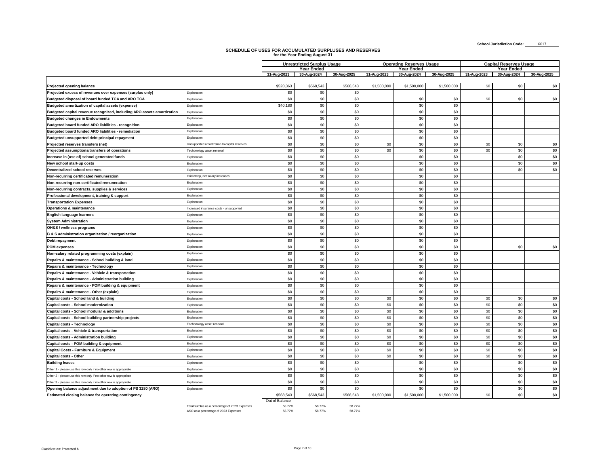┑

## **SCHEDULE OF USES FOR ACCUMULATED SURPLUSES AND RESERVES for the Year Ending August 31**

 $\blacksquare$ 

|                                                                        |                                                |                                | <b>Unrestricted Surplus Usage</b> |               |             | <b>Operating Reserves Usage</b> |             | <b>Capital Reserves Usage</b> |             |             |  |
|------------------------------------------------------------------------|------------------------------------------------|--------------------------------|-----------------------------------|---------------|-------------|---------------------------------|-------------|-------------------------------|-------------|-------------|--|
|                                                                        |                                                |                                | <b>Year Ended</b>                 |               |             | <b>Year Ended</b>               |             |                               | Year Ended  |             |  |
|                                                                        |                                                | 31-Aug-2023                    | 30-Aug-2024                       | 30-Aug-2025   | 31-Aug-2023 | 30-Aug-2024                     | 30-Aug-2025 | 31-Aug-2023                   | 30-Aug-2024 | 30-Aug-2025 |  |
| Projected opening balance                                              |                                                | \$528,363                      | \$568,543                         | \$568,543     | \$1,500,000 | \$1,500,000                     | \$1,500,000 | \$0                           | \$0         | \$0         |  |
| Projected excess of revenues over expenses (surplus only)              | Explanation                                    | \$0                            | \$0                               | \$0           |             |                                 |             |                               |             |             |  |
| Budgeted disposal of board funded TCA and ARO TCA                      | Explanation                                    | \$0                            | \$0                               | \$0           |             | \$0                             | \$0         | \$0                           | \$0         | \$0         |  |
| Budgeted amortization of capital assets (expense)                      | Explanation                                    | \$40,180                       | \$0                               | \$0           |             | \$0                             | \$0         |                               |             |             |  |
| Budgeted capital revenue recognized, including ARO assets amortization | Explanation                                    | \$0                            | \$0                               | \$0           |             | \$0                             | \$0         |                               |             |             |  |
| <b>Budgeted changes in Endowments</b>                                  | Explanation                                    | \$0                            | \$0                               | \$0           |             | \$0                             | \$0         |                               |             |             |  |
| Budgeted board funded ARO liabilities - recognition                    | Explanation                                    | \$0                            | \$0                               | \$0           |             | \$0                             | \$0         |                               |             |             |  |
| Budgeted board funded ARO liabilities - remediation                    | Explanation                                    | \$0                            | \$0                               | \$0           |             | \$0                             | \$0         |                               |             |             |  |
| Budgeted unsupported debt principal repayment                          | Explanation                                    | \$0                            | \$0                               | \$0           |             | \$0                             | \$0         |                               |             |             |  |
| Projected reserves transfers (net)                                     | Unsupported amortization to capital reserves   | \$0                            | \$0                               | \$0           | \$0         | \$0                             | \$0         | \$0                           | \$0         | \$0         |  |
| Projected assumptions/transfers of operations                          | Techonology asset renewal                      | \$0                            | \$0                               | \$0           | \$0         | \$0                             | \$0         | \$0                           | \$0         | \$0         |  |
| Increase in (use of) school generated funds                            | Explanation                                    | \$0                            | \$0                               | \$0           |             | \$0                             | \$0         |                               | \$0         | \$0         |  |
| New school start-up costs                                              | Explanation                                    | \$0                            | \$0                               | \$0           |             | \$0                             | \$0         |                               | \$0         | \$0         |  |
| <b>Decentralized school reserves</b>                                   | Explanation                                    | \$0                            | \$0                               | \$0           |             | \$0                             | \$0         |                               | \$0         | \$0         |  |
| Non-recurring certificated remuneration                                | Grid creep, net salary increases               | \$0                            | \$0                               | \$0           |             | \$0                             | \$0         |                               |             |             |  |
| Non-recurring non-certificated remuneration                            | Explanation                                    | \$0                            | \$0                               | \$0           |             | \$0                             | \$0         |                               |             |             |  |
| Non-recurring contracts, supplies & services                           | Explanation                                    | \$0                            | \$0                               | \$0           |             | \$0                             | \$0         |                               |             |             |  |
| Professional development, training & support                           | Explanation                                    | \$0                            | \$0                               | \$0           |             | \$0                             | \$0         |                               |             |             |  |
| <b>Transportation Expenses</b>                                         | Explanation                                    | \$0                            | \$0                               | \$0           |             | \$0                             | \$0         |                               |             |             |  |
| <b>Operations &amp; maintenance</b>                                    | Increased insurance costs - unsupported        | \$0                            | \$0                               | \$0           |             | \$0                             | \$0         |                               |             |             |  |
| English language learners                                              | Explanation                                    | \$0                            | \$0                               | \$0           |             | \$0                             | \$0         |                               |             |             |  |
| <b>System Administration</b>                                           | Explanation                                    | \$0                            | \$0                               | \$0           |             | \$0                             | \$0         |                               |             |             |  |
| OH&S / wellness programs                                               | Explanation                                    | \$0                            | \$0                               | \$0           |             | \$0                             | \$0         |                               |             |             |  |
| B & S administration organization / reorganization                     |                                                | \$0                            | \$0                               | \$0           |             | \$0                             | \$0         |                               |             |             |  |
|                                                                        | Explanation<br>Explanation                     | \$0                            | \$0                               | \$0           |             | \$0                             | \$0         |                               |             |             |  |
| Debt repayment                                                         |                                                | \$0                            | \$0                               | \$0           |             | \$0                             | \$0         |                               | \$0         | \$0         |  |
| <b>POM expenses</b>                                                    | Explanation                                    |                                |                                   |               |             |                                 |             |                               |             |             |  |
| Non-salary related programming costs (explain)                         | Explanation                                    | \$0                            | \$0<br>\$0                        | \$0<br>\$0    |             | \$0<br>\$0                      | \$0<br>\$0  |                               |             |             |  |
| Repairs & maintenance - School building & land                         | Explanation                                    | \$0<br>\$0                     | \$0                               | \$0           |             | \$0                             | \$0         |                               |             |             |  |
| Repairs & maintenance - Technology                                     | Explanation                                    |                                |                                   |               |             |                                 |             |                               |             |             |  |
| Repairs & maintenance - Vehicle & transportation                       | Explanation                                    | \$0                            | \$0                               | \$0           |             | \$0                             | \$0         |                               |             |             |  |
| Repairs & maintenance - Administration building                        | Explanation                                    | \$0                            | \$0                               | \$0           |             | \$0                             | \$0         |                               |             |             |  |
| Repairs & maintenance - POM building & equipment                       | Explanation                                    | \$0                            | \$0                               | \$0           |             | \$0                             | \$0         |                               |             |             |  |
| Repairs & maintenance - Other (explain)                                | Explanation                                    | \$0                            | \$0                               | \$0           |             | \$0                             | \$0         |                               |             |             |  |
| Capital costs - School land & building                                 | Explanation                                    | \$0                            | \$0                               | \$0           | \$0         | \$0                             | \$0         | \$0                           | \$0         | \$0         |  |
| Capital costs - School modernization                                   | Explanation                                    | \$0                            | \$0                               | \$0           | \$0         | \$0                             | \$0         | \$0                           | \$0         | \$0         |  |
| Capital costs - School modular & additions                             | Explanation                                    | \$0                            | \$0                               | \$0           | \$0         | \$0                             | \$0         | \$0                           | \$0         | \$0         |  |
| Capital costs - School building partnership projects                   | Explanation                                    | \$0                            | \$0                               | \$0           | \$0         | \$0                             | \$0         | \$0                           | \$0         | \$0         |  |
| Capital costs - Technology                                             | Techonology asset renewal                      | \$0                            | \$0                               | \$0           | \$0         | \$0                             | \$0         | \$0                           | \$0         | \$0         |  |
| Capital costs - Vehicle & transportation                               | Explanation                                    | \$0                            | \$0                               | \$0           | \$0         | \$0                             | \$0         | \$0                           | \$0         | \$0         |  |
| Capital costs - Administration building                                | Explanation                                    | \$0                            | \$0                               | \$0           | \$0         | \$0                             | \$0         | \$0                           | \$0         | \$0         |  |
| Capital costs - POM building & equipment                               | Explanation                                    | \$0                            | \$0                               | \$0           | \$0         | \$0                             | \$0         | \$0                           | \$0         | \$0         |  |
| Capital Costs - Furniture & Equipment                                  | Explanation                                    | \$0                            | \$0                               | \$0           | \$0         | \$0                             | \$0         | \$0                           | \$0         | \$0         |  |
| Capital costs - Other                                                  | Explanation                                    | \$0                            | \$0                               | \$0           | \$0         | \$0                             | \$0         | \$0                           | \$0         | \$0         |  |
| <b>Building leases</b>                                                 | Explanation                                    | \$0                            | \$0                               | \$0           |             | \$0                             | \$0         |                               | \$0         | \$0         |  |
| Other 1 - please use this row only if no other row is appropriate      | Explanation                                    | \$0                            | \$0                               | \$0           |             | \$0                             | \$0         |                               | \$0         | \$0         |  |
| Other 2 - please use this row only if no other row is appropriate      | Explanation                                    | \$0                            | \$0                               | \$0           |             | \$0                             | \$0         |                               | \$0         | \$0         |  |
| Other 3 - please use this row only if no other row is appropriate      | Explanation                                    | \$0                            | \$0                               | \$0           |             | \$0                             | \$0         |                               | \$0         | \$0         |  |
| Opening balance adjustment due to adoption of PS 3280 (ARO)            | Explanation                                    | \$0                            | \$0                               | \$0           |             | \$0                             | \$0         |                               | \$0         | \$0         |  |
| Estimated closing balance for operating contingency                    |                                                | \$568,543                      | \$568,543                         | \$568,543     | \$1,500,000 | \$1,500,000                     | \$1,500,000 | \$0                           | \$0         | \$0         |  |
|                                                                        | Total surplus as a percentage of 2023 Expenses | Out of Balance<br><b>58779</b> | <b>58 77%</b>                     | <b>58 77%</b> |             |                                 |             |                               |             |             |  |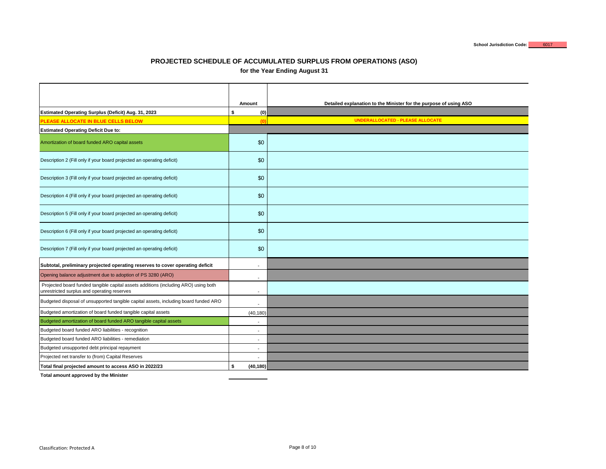### **PROJECTED SCHEDULE OF ACCUMULATED SURPLUS FROM OPERATIONS (ASO) for the Year Ending August 31**

|                                                                                                                                    | Amount                   | Detailed explanation to the Minister for the purpose of using ASO |
|------------------------------------------------------------------------------------------------------------------------------------|--------------------------|-------------------------------------------------------------------|
| Estimated Operating Surplus (Deficit) Aug. 31, 2023                                                                                | \$<br>(0)                |                                                                   |
| PLEASE ALLOCATE IN BLUE CELLS BELOW                                                                                                | (0)                      | <b>UNDERALLOCATED - PLEASE ALLOCATE</b>                           |
| <b>Estimated Operating Deficit Due to:</b>                                                                                         |                          |                                                                   |
| Amortization of board funded ARO capital assets                                                                                    | \$0                      |                                                                   |
| Description 2 (Fill only if your board projected an operating deficit)                                                             | \$0                      |                                                                   |
| Description 3 (Fill only if your board projected an operating deficit)                                                             | \$0                      |                                                                   |
| Description 4 (Fill only if your board projected an operating deficit)                                                             | \$0                      |                                                                   |
| Description 5 (Fill only if your board projected an operating deficit)                                                             | \$0                      |                                                                   |
| Description 6 (Fill only if your board projected an operating deficit)                                                             | \$0                      |                                                                   |
| Description 7 (Fill only if your board projected an operating deficit)                                                             | \$0                      |                                                                   |
| Subtotal, preliminary projected operating reserves to cover operating deficit                                                      | $\overline{\phantom{a}}$ |                                                                   |
| Opening balance adjustment due to adoption of PS 3280 (ARO)                                                                        | $\blacksquare$           |                                                                   |
| Projected board funded tangible capital assets additions (including ARO) using both<br>unrestricted surplus and operating reserves | ÷,                       |                                                                   |
| Budgeted disposal of unsupported tangible capital assets, including board funded ARO                                               | $\overline{a}$           |                                                                   |
| Budgeted amortization of board funded tangible capital assets                                                                      | (40, 180)                |                                                                   |
| Budgeted amortization of board funded ARO tangible capital assets                                                                  | $\blacksquare$           |                                                                   |
| Budgeted board funded ARO liabilities - recognition                                                                                | $\overline{\phantom{a}}$ |                                                                   |
| Budgeted board funded ARO liabilities - remediation                                                                                | $\overline{\phantom{a}}$ |                                                                   |
| Budgeted unsupported debt principal repayment                                                                                      | ٠                        |                                                                   |
| Projected net transfer to (from) Capital Reserves                                                                                  |                          |                                                                   |
| Total final projected amount to access ASO in 2022/23                                                                              | \$<br>(40, 180)          |                                                                   |

**Total amount approved by the Minister**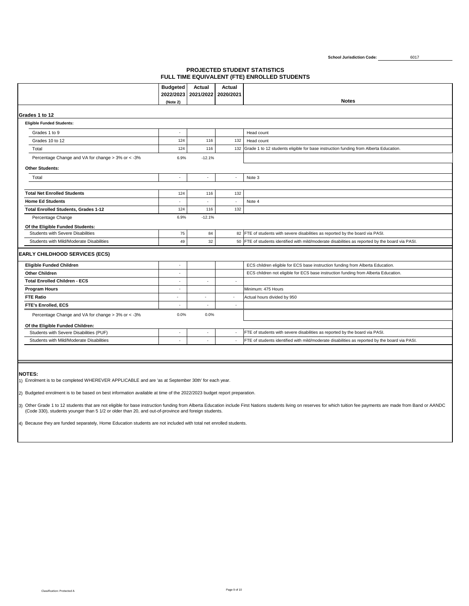### **PROJECTED STUDENT STATISTICS FULL TIME EQUIVALENT (FTE) ENROLLED STUDENTS**

|                                                   | <b>Budgeted</b><br>2022/2023 | Actual<br>2021/2022      | <b>Actual</b><br>2020/2021 |                                                                                                  |
|---------------------------------------------------|------------------------------|--------------------------|----------------------------|--------------------------------------------------------------------------------------------------|
|                                                   | (Note 2)                     |                          |                            | <b>Notes</b>                                                                                     |
|                                                   |                              |                          |                            |                                                                                                  |
| Grades 1 to 12                                    |                              |                          |                            |                                                                                                  |
| <b>Eligible Funded Students:</b>                  |                              |                          |                            |                                                                                                  |
| Grades 1 to 9                                     |                              |                          |                            | Head count                                                                                       |
| Grades 10 to 12                                   | 124                          | 116                      | 132                        | Head count                                                                                       |
| Total                                             | 124                          | 116                      |                            | 132 Grade 1 to 12 students eligible for base instruction funding from Alberta Education.         |
| Percentage Change and VA for change > 3% or < -3% | 6.9%                         | $-12.1%$                 |                            |                                                                                                  |
| <b>Other Students:</b>                            |                              |                          |                            |                                                                                                  |
| Total                                             | ×.                           | ÷,                       |                            | Note 3                                                                                           |
|                                                   |                              |                          |                            |                                                                                                  |
| <b>Total Net Enrolled Students</b>                | 124                          | 116                      | 132                        |                                                                                                  |
| <b>Home Ed Students</b>                           | ×.                           | ÷,                       | ÷,                         | Note 4                                                                                           |
| <b>Total Enrolled Students, Grades 1-12</b>       | 124                          | 116                      | 132                        |                                                                                                  |
| Percentage Change                                 | 6.9%                         | $-12.1%$                 |                            |                                                                                                  |
| Of the Eligible Funded Students:                  |                              |                          |                            |                                                                                                  |
| Students with Severe Disabilities                 | 75                           | 84                       |                            | 82 FTE of students with severe disabilities as reported by the board via PASI.                   |
| Students with Mild/Moderate Disabilities          | 49                           | 32                       |                            | 50 FTE of students identified with mild/moderate disabilities as reported by the board via PASI. |
| <b>EARLY CHILDHOOD SERVICES (ECS)</b>             |                              |                          |                            |                                                                                                  |
| <b>Eligible Funded Children</b>                   | ÷.                           |                          |                            | ECS children eligible for ECS base instruction funding from Alberta Education.                   |
| <b>Other Children</b>                             | ÷.                           |                          |                            | ECS children not eligible for ECS base instruction funding from Alberta Education.               |
| <b>Total Enrolled Children - ECS</b>              |                              | $\overline{\phantom{a}}$ | ٠                          |                                                                                                  |
| <b>Program Hours</b>                              |                              |                          |                            | Minimum: 475 Hours                                                                               |
| <b>FTE Ratio</b>                                  | ٠                            | $\overline{\phantom{a}}$ | $\sim$                     | Actual hours divided by 950                                                                      |
| FTE's Enrolled, ECS                               | ٠                            | ٠                        | ٠                          |                                                                                                  |
|                                                   |                              |                          |                            |                                                                                                  |
| Percentage Change and VA for change > 3% or < -3% | 0.0%                         | 0.0%                     |                            |                                                                                                  |
| Of the Eligible Funded Children:                  |                              |                          |                            |                                                                                                  |
| Students with Severe Disabilities (PUF)           | ÷.                           | ÷,                       | $\sim$                     | FTE of students with severe disabilities as reported by the board via PASI.                      |

**NOTES:**

1) Enrolment is to be completed WHEREVER APPLICABLE and are 'as at September 30th' for each year.

2) Budgeted enrolment is to be based on best information available at time of the 2022/2023 budget report preparation.

3) Other Grade 1 to 12 students that are not eligible for base instruction funding from Alberta Education include First Nations students living on reserves for which tuition fee payments are made from Band or AANDC<br>(Code 3

4) Because they are funded separately, Home Education students are not included with total net enrolled students.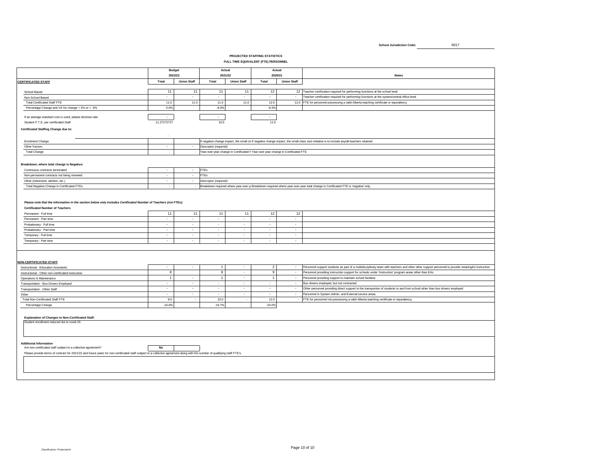#### **PROJECTED STAFFING STATISTICS FULL TIME EQUIVALENT (FTE) PERSONNEL**

|                                                                                                                                                                                                                                                                               |                | <b>Budget</b>      | Actual                 |                     | Actual                                                                            |                             |                                                                                                                                                  |
|-------------------------------------------------------------------------------------------------------------------------------------------------------------------------------------------------------------------------------------------------------------------------------|----------------|--------------------|------------------------|---------------------|-----------------------------------------------------------------------------------|-----------------------------|--------------------------------------------------------------------------------------------------------------------------------------------------|
|                                                                                                                                                                                                                                                                               |                | 2022/23            | 2021/22                |                     | 2020/21                                                                           |                             | <b>Notes</b>                                                                                                                                     |
| <b>CERTIFICATED STAFF</b>                                                                                                                                                                                                                                                     | Total          | <b>Union Staff</b> | Total                  | <b>Union Staff</b>  | Total                                                                             | <b>Union Staff</b>          |                                                                                                                                                  |
| School Based                                                                                                                                                                                                                                                                  | 11             | 11                 | 11                     | 11                  | 12                                                                                |                             | 12 Teacher certification required for performing functions at the school level.                                                                  |
| Non-School Based                                                                                                                                                                                                                                                              | ÷              | $\sim$             | $\sim$                 | ÷                   | $\sim$                                                                            | $\sim$                      | Teacher certification required for performing functions at the system/central office level.                                                      |
| <b>Total Certificated Staff FTE</b>                                                                                                                                                                                                                                           | 11.0           | 11.0               | 11.0                   | 11.0                | 12.0                                                                              |                             | 12.0 FTE for personnel possessing a valid Alberta teaching certificate or equivalency.                                                           |
| Percentage Change and VA for change > 3% or < - 3%                                                                                                                                                                                                                            | 0.0%           |                    | $-8.3%$                |                     | $-8.3%$                                                                           |                             |                                                                                                                                                  |
|                                                                                                                                                                                                                                                                               |                |                    |                        |                     |                                                                                   |                             |                                                                                                                                                  |
| If an average standard cost is used, please disclose rate:                                                                                                                                                                                                                    | $\sim$         |                    | $\sim$                 |                     | $\sim$                                                                            |                             |                                                                                                                                                  |
| Student F.T.E. per certificated Staff                                                                                                                                                                                                                                         | 11.27272727    |                    | 10.5                   |                     | 11.0                                                                              |                             |                                                                                                                                                  |
| <b>Certificated Staffing Change due to:</b>                                                                                                                                                                                                                                   |                |                    |                        |                     |                                                                                   |                             |                                                                                                                                                  |
| Enrolment Change                                                                                                                                                                                                                                                              |                |                    |                        |                     |                                                                                   |                             | If negative change impact, the small cli If negative change impact, the small class size initiative is to include any/all teachers retained.     |
| Other Factors                                                                                                                                                                                                                                                                 | $\sim$         | $\sim$             | Descriptor (required): |                     |                                                                                   |                             |                                                                                                                                                  |
| Total Change                                                                                                                                                                                                                                                                  | $\sim$         | $\sim$             |                        |                     | Year-over-year change in Certificated F Year-over-year change in Certificated FTE |                             |                                                                                                                                                  |
|                                                                                                                                                                                                                                                                               |                |                    |                        |                     |                                                                                   |                             |                                                                                                                                                  |
| Breakdown, where total change is Negative:                                                                                                                                                                                                                                    |                |                    |                        |                     |                                                                                   |                             |                                                                                                                                                  |
| Continuous contracts terminated                                                                                                                                                                                                                                               | $\sim$         | $\sim$             | <b>FTEs</b>            |                     |                                                                                   |                             |                                                                                                                                                  |
| Non-permanent contracts not being renewed                                                                                                                                                                                                                                     | $\blacksquare$ | $\sim$             | <b>FTEs</b>            |                     |                                                                                   |                             |                                                                                                                                                  |
| Other (retirement, attrition, etc.)                                                                                                                                                                                                                                           | $\sim$         | $\sim$             | Descriptor (required): |                     |                                                                                   |                             |                                                                                                                                                  |
| Total Negative Change in Certificated FTEs                                                                                                                                                                                                                                    | ٠              | $\sim$             |                        |                     |                                                                                   |                             | Breakdown required where year-over-y Breakdown required where year-over-year total change in Certificated FTE is 'negative' only.                |
|                                                                                                                                                                                                                                                                               |                |                    |                        |                     |                                                                                   |                             |                                                                                                                                                  |
| Please note that the information in the section below only includes Certificated Number of Teachers (not FTEs):<br><b>Certificated Number of Teachers</b>                                                                                                                     |                |                    |                        |                     |                                                                                   |                             |                                                                                                                                                  |
| Permanent - Full time                                                                                                                                                                                                                                                         | 11             | 11                 | 11                     | 11                  | 12                                                                                | 12                          |                                                                                                                                                  |
| Permanent - Part time                                                                                                                                                                                                                                                         | ÷              | $\sim$             | ÷.                     | $\sim$              | $\sim$                                                                            | $\sim$                      |                                                                                                                                                  |
| Probationary - Full time                                                                                                                                                                                                                                                      | $\sim$         | $\sim$             | $\sim$                 | $\sim$              | $\sim$                                                                            | $\sim$                      |                                                                                                                                                  |
| Probationary - Part time                                                                                                                                                                                                                                                      | $\mathcal{L}$  | $\sim$             | $\sim$                 | $\mathcal{L}$       | $\omega$                                                                          | $\sim$                      |                                                                                                                                                  |
| Temporary - Full time                                                                                                                                                                                                                                                         | $\sim$         | $\sim$             | $\sim$                 | $\sim$              | $\sim$                                                                            | $\sim$                      |                                                                                                                                                  |
| Temporary - Part time                                                                                                                                                                                                                                                         | $\sim$         |                    | $\sim$                 | ä,                  | $\sim$                                                                            | $\mathcal{L}_{\mathcal{A}}$ |                                                                                                                                                  |
|                                                                                                                                                                                                                                                                               |                |                    |                        |                     |                                                                                   |                             |                                                                                                                                                  |
| <b>NON-CERTIFICATED STAFF</b><br>Instructional - Education Assistants                                                                                                                                                                                                         | $\sim$         | $\sim$             | $\overline{1}$         | $\sim$              | $\overline{2}$                                                                    | $\sim$                      | Personnel support students as part of a multidisciplinary team with teachers and other other support personnel to provide meaningful instruction |
| Instructional - Other non-certificated instruction                                                                                                                                                                                                                            | $\bf{8}$       |                    | $\bf{8}$               | $\sim$              | $\mathsf g$                                                                       | $\sim$                      | Personnel providing instruction support for schools under 'Instruction' program areas other than EAs                                             |
| Operations & Maintenance                                                                                                                                                                                                                                                      | $\overline{1}$ | $\sim$             | $\overline{1}$         | $\sim$              | $\overline{1}$                                                                    | $\bar{\phantom{a}}$         | Personnel providing support to maintain school facilities                                                                                        |
| Transportation - Bus Drivers Employed                                                                                                                                                                                                                                         | $\sim$         | $\sim$             | $\sim$                 | $\sim$              | $\sim$                                                                            | $\sim$                      | Bus drivers employed, but not contracted                                                                                                         |
| Transportation - Other Staff                                                                                                                                                                                                                                                  | $\sim$         | $\sim$             | $\sim$                 | $\bar{\phantom{a}}$ | $\sim$                                                                            | $\sim$                      | Other personnel providing direct support to the transportion of students to and from school other than bus drivers employed                      |
| Other                                                                                                                                                                                                                                                                         | $\sim$         | $\sim$             | $\sim$                 | $\sim$              | $\sim$                                                                            | $\sim$                      | Personnel in System Admin. and External service areas.                                                                                           |
| Total Non-Certificated Staff FTE                                                                                                                                                                                                                                              | 9.0            | $\cdot$            | 10.0                   | $\sim$              | 12.0                                                                              |                             | FTE for personnel not possessing a valid Alberta teaching certificate or equivalency.                                                            |
| Percentage Change                                                                                                                                                                                                                                                             | $-10.0%$       |                    | $-16.7%$               |                     | $-25.0%$                                                                          |                             |                                                                                                                                                  |
| <b>Explanation of Changes to Non-Certificated Staff:</b><br>Student enrollment reduced dut to covid-19.                                                                                                                                                                       |                |                    |                        |                     |                                                                                   |                             |                                                                                                                                                  |
| <b>Additional Information</b><br>Are non-certificated staff subject to a collective agreement?<br>Please provide terms of contract for 2021/22 and future years for non-certificated staff subject to a collective agreement along with the number of qualifying staff FTE's. | No             |                    |                        |                     |                                                                                   |                             |                                                                                                                                                  |
|                                                                                                                                                                                                                                                                               |                |                    |                        |                     |                                                                                   |                             |                                                                                                                                                  |
|                                                                                                                                                                                                                                                                               |                |                    |                        |                     |                                                                                   |                             |                                                                                                                                                  |